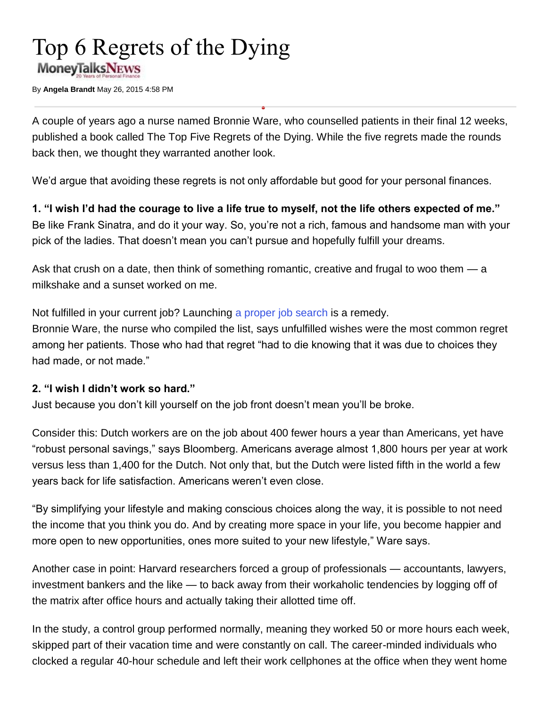# Top 6 Regrets of the Dying **MoneyTalksNEws**

By **Angela Brandt** May 26, 2015 4:58 PM

A couple of years ago a nurse named Bronnie Ware, who counselled patients in their final 12 weeks, published a book called The Top Five Regrets of the Dying. While the five regrets made the rounds back then, we thought they warranted another look.

 $\bullet$ 

We'd argue that avoiding these regrets is not only affordable but good for your personal finances.

**1. "I wish I'd had the courage to live a life true to myself, not the life others expected of me."** Be like Frank Sinatra, and do it your way. So, you're not a rich, famous and handsome man with your pick of the ladies. That doesn't mean you can't pursue and hopefully fulfill your dreams.

Ask that crush on a date, then think of something romantic, creative and frugal to woo them — a milkshake and a sunset worked on me.

Not fulfilled in your current job? Launching [a proper job search](http://www.moneytalksnews.com/2013/05/14/ask-stacy-why-cant-my-son-find-work/) is a remedy.

Bronnie Ware, the nurse who compiled the list, says unfulfilled wishes were the most common regret among her patients. Those who had that regret "had to die knowing that it was due to choices they had made, or not made."

#### **2. "I wish I didn't work so hard."**

Just because you don't kill yourself on the job front doesn't mean you'll be broke.

Consider this: Dutch workers are on the job about 400 fewer hours a year than Americans, yet have "robust personal savings," says Bloomberg. Americans average almost 1,800 hours per year at work versus less than 1,400 for the Dutch. Not only that, but the Dutch were listed fifth in the world a few years back for life satisfaction. Americans weren't even close.

"By simplifying your lifestyle and making conscious choices along the way, it is possible to not need the income that you think you do. And by creating more space in your life, you become happier and more open to new opportunities, ones more suited to your new lifestyle," Ware says.

Another case in point: Harvard researchers forced a group of professionals — accountants, lawyers, investment bankers and the like — to back away from their workaholic tendencies by logging off of the matrix after office hours and actually taking their allotted time off.

In the study, a control group performed normally, meaning they worked 50 or more hours each week, skipped part of their vacation time and were constantly on call. The career-minded individuals who clocked a regular 40-hour schedule and left their work cellphones at the office when they went home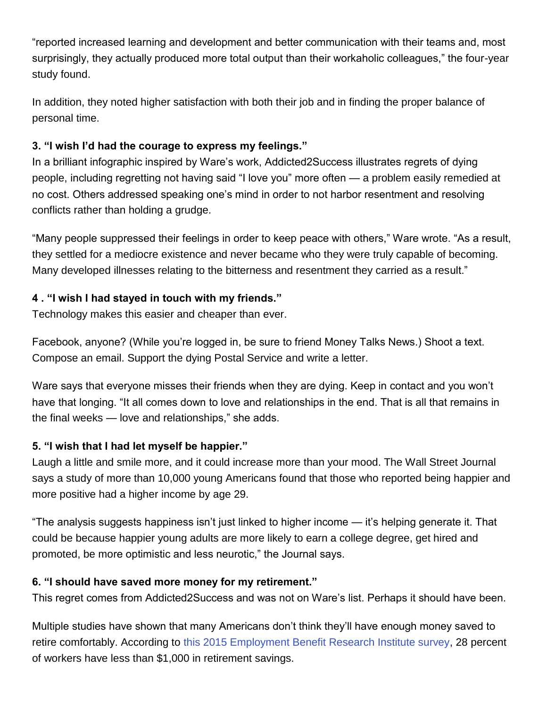"reported increased learning and development and better communication with their teams and, most surprisingly, they actually produced more total output than their workaholic colleagues," the four-year study found.

In addition, they noted higher satisfaction with both their job and in finding the proper balance of personal time.

#### **3. "I wish I'd had the courage to express my feelings."**

In a brilliant infographic inspired by Ware's work, Addicted2Success illustrates regrets of dying people, including regretting not having said "I love you" more often — a problem easily remedied at no cost. Others addressed speaking one's mind in order to not harbor resentment and resolving conflicts rather than holding a grudge.

"Many people suppressed their feelings in order to keep peace with others," Ware wrote. "As a result, they settled for a mediocre existence and never became who they were truly capable of becoming. Many developed illnesses relating to the bitterness and resentment they carried as a result."

### **4 . "I wish I had stayed in touch with my friends."**

Technology makes this easier and cheaper than ever.

Facebook, anyone? (While you're logged in, be sure to friend Money Talks News.) Shoot a text. Compose an email. Support the dying Postal Service and write a letter.

Ware says that everyone misses their friends when they are dying. Keep in contact and you won't have that longing. "It all comes down to love and relationships in the end. That is all that remains in the final weeks — love and relationships," she adds.

## **5. "I wish that I had let myself be happier."**

Laugh a little and smile more, and it could increase more than your mood. The Wall Street Journal says a study of more than 10,000 young Americans found that those who reported being happier and more positive had a higher income by age 29.

"The analysis suggests happiness isn't just linked to higher income — it's helping generate it. That could be because happier young adults are more likely to earn a college degree, get hired and promoted, be more optimistic and less neurotic," the Journal says.

#### **6. "I should have saved more money for my retirement."**

This regret comes from Addicted2Success and was not on Ware's list. Perhaps it should have been.

Multiple studies have shown that many Americans don't think they'll have enough money saved to retire comfortably. According to [this 2015 Employment Benefit Research Institute survey,](http://www.cnbc.com/id/102606784) 28 percent of workers have less than \$1,000 in retirement savings.